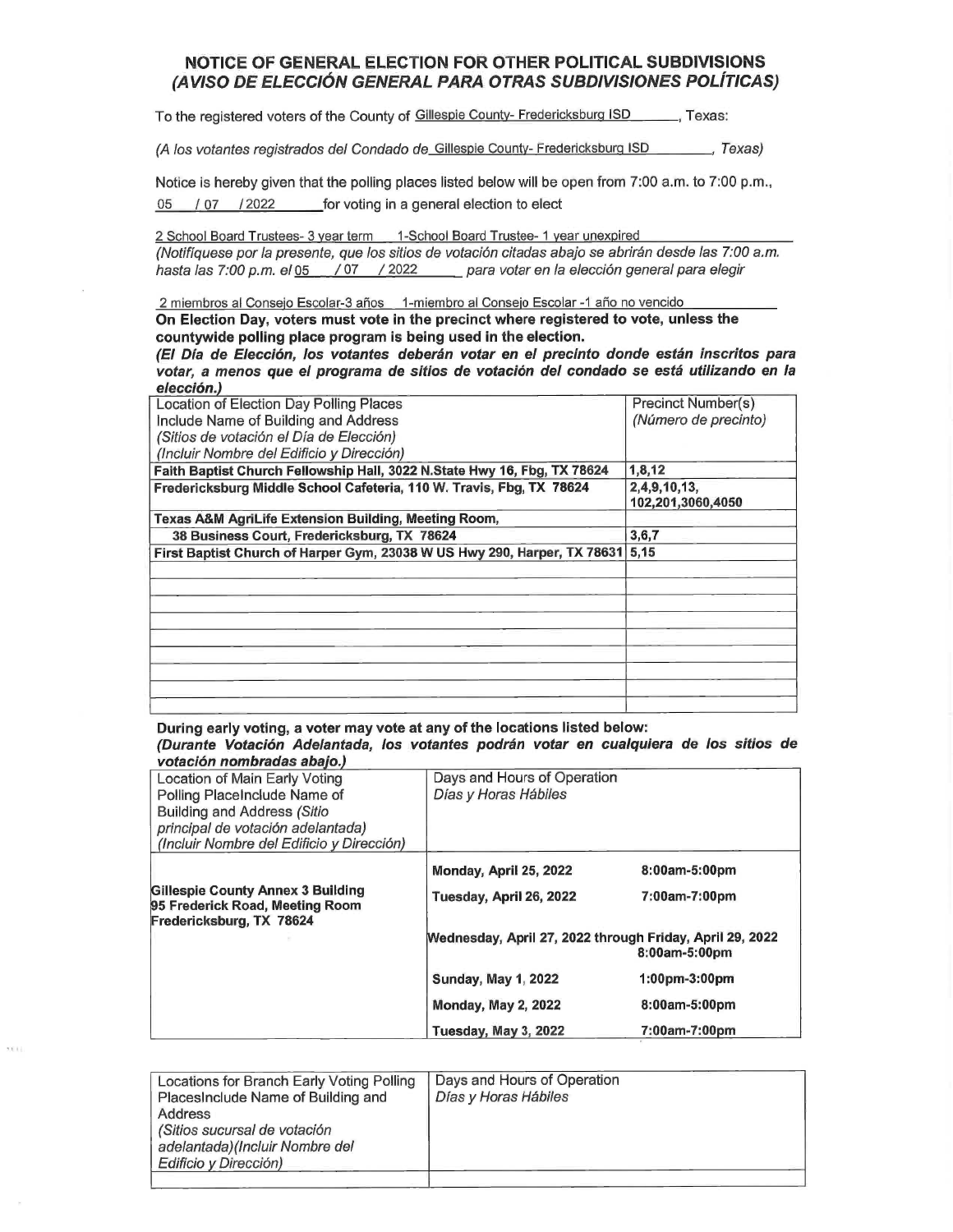## NOTICE OF GENERAL ELECTION FOR OTHER POLITICAL SUBDIVISIONS (AVISO DE ELECCION GENERAL PARA OTRAS SUBDIVISIONES POLITICAS) NOTICE OF GENERAL ELECTION FOR OTHER POLITICAL SUBDIVISI<br>(AVISO DE ELECCIÓN GENERAL PARA OTRAS SUBDIVISIONES POLÍT<br>To the registered voters of the County of Gillespie County- Fredericksburg ISD \_\_\_\_\_\_\_\_, Texas:

2 School Board Trustees- 3 year term 1-School Board Trustee- 1 year unexpired (Notifiquese por la presente, que los sitios de votación citadas abajo se abrirán desde las 7:00 a.m. hasta las 7:00 p.m. el 05 / 07 / 2022 para votar en la elección general para elegir **NOTICE OF GENERAL ELECTION FC**<br>
(*AVISO DE ELECCIÓN GENERAL PAR*<br>
To the registered voters of the County of Gillespie (*A los votantes registrados del Condado de* Gillesp<br>
Notice is hereby given that the polling places l

| NOTICE OF GENERAL ELECTION FOR OTHER POLITICAL SUBDIVISIONS<br>(AVISO DE ELECCIÓN GENERAL PARA OTRAS SUBDIVISIONES POLÍTICAS)                                                                                                                                                 |                                                          |                                            |
|-------------------------------------------------------------------------------------------------------------------------------------------------------------------------------------------------------------------------------------------------------------------------------|----------------------------------------------------------|--------------------------------------------|
| To the registered voters of the County of Gillespie County- Fredericksburg ISD _______. Texas:                                                                                                                                                                                |                                                          |                                            |
| (A los votantes registrados del Condado de Gillespie County- Fredericksburg ISD _______, Texas)                                                                                                                                                                               |                                                          |                                            |
| Notice is hereby given that the polling places listed below will be open from 7:00 a.m. to 7:00 p.m.,<br>/ 07 / 2022<br>05                                                                                                                                                    | for voting in a general election to elect                |                                            |
| 2 School Board Trustees- 3 year term 1-School Board Trustee- 1 year unexpired<br>(Notifíquese por la presente, que los sitios de votación citadas abajo se abrirán desde las 7:00 a.m.<br>hasta las 7:00 p.m. el 05 / 07 / 2022 para votar en la elección general para elegir |                                                          |                                            |
| 2 miembros al Consejo Escolar-3 años 1-miembro al Consejo Escolar -1 año no vencido                                                                                                                                                                                           |                                                          |                                            |
| On Election Day, voters must vote in the precinct where registered to vote, unless the<br>countywide polling place program is being used in the election.                                                                                                                     |                                                          |                                            |
| (El Día de Elección, los votantes deberán votar en el precinto donde están inscritos para<br>votar, a menos que el programa de sitios de votación del condado se está utilizando en la                                                                                        |                                                          |                                            |
| elección.)                                                                                                                                                                                                                                                                    |                                                          |                                            |
| Location of Election Day Polling Places<br>Include Name of Building and Address                                                                                                                                                                                               |                                                          | Precinct Number(s)<br>(Número de precinto) |
| (Sitios de votación el Día de Elección)<br>(Incluir Nombre del Edificio y Dirección)                                                                                                                                                                                          |                                                          |                                            |
| Faith Baptist Church Fellowship Hall, 3022 N.State Hwy 16, Fbg, TX 78624                                                                                                                                                                                                      |                                                          | 1, 8, 12                                   |
| Fredericksburg Middle School Cafeteria, 110 W. Travis, Fbg, TX 78624                                                                                                                                                                                                          |                                                          | 2,4,9,10,13,<br>102,201,3060,4050          |
| Texas A&M AgriLife Extension Building, Meeting Room,<br>38 Business Court, Fredericksburg, TX 78624                                                                                                                                                                           |                                                          | 3, 6, 7                                    |
| First Baptist Church of Harper Gym, 23038 W US Hwy 290, Harper, TX 78631                                                                                                                                                                                                      |                                                          | 5,15                                       |
|                                                                                                                                                                                                                                                                               |                                                          |                                            |
|                                                                                                                                                                                                                                                                               |                                                          |                                            |
|                                                                                                                                                                                                                                                                               |                                                          |                                            |
|                                                                                                                                                                                                                                                                               |                                                          |                                            |
|                                                                                                                                                                                                                                                                               |                                                          |                                            |
|                                                                                                                                                                                                                                                                               |                                                          |                                            |
|                                                                                                                                                                                                                                                                               |                                                          |                                            |
| During early voting, a voter may vote at any of the locations listed below:<br>(Durante Votación Adelantada, los votantes podrán votar en cualquiera de los sitios de<br>votación nombradas abajo.)                                                                           |                                                          |                                            |
| Location of Main Early Voting                                                                                                                                                                                                                                                 | Days and Hours of Operation                              |                                            |
| Polling PlaceInclude Name of<br><b>Building and Address (Sitio</b>                                                                                                                                                                                                            | Días y Horas Hábiles                                     |                                            |
| principal de votación adelantada)<br>(Incluir Nombre del Edificio y Dirección)                                                                                                                                                                                                |                                                          |                                            |
|                                                                                                                                                                                                                                                                               | Monday, April 25, 2022                                   | 8:00am-5:00pm                              |
| Gillespie County Annex 3 Building<br>95 Frederick Road, Meeting Room<br>Fredericksburg, TX 78624                                                                                                                                                                              | Tuesday, April 26, 2022                                  | 7:00am-7:00pm                              |
|                                                                                                                                                                                                                                                                               | Wednesday, April 27, 2022 through Friday, April 29, 2022 | 8:00am-5:00pm                              |
|                                                                                                                                                                                                                                                                               | <b>Sunday, May 1, 2022</b>                               | 1:00pm-3:00pm                              |
|                                                                                                                                                                                                                                                                               | <b>Monday, May 2, 2022</b>                               | 8:00am-5:00pm                              |
|                                                                                                                                                                                                                                                                               | Tuesday, May 3, 2022                                     | 7:00am-7:00pm                              |
|                                                                                                                                                                                                                                                                               |                                                          |                                            |
| Locations for Branch Early Voting Polling<br>PlacesInclude Name of Building and                                                                                                                                                                                               | Days and Hours of Operation<br>Días y Horas Hábiles      |                                            |
| <b>Address</b><br>(Sitios sucursal de votación                                                                                                                                                                                                                                |                                                          |                                            |
| adelantada)(Incluir Nombre del<br>Edificio y Dirección)                                                                                                                                                                                                                       |                                                          |                                            |

 $111$ 

| Location of Main Early Voting                                                                           | Days and Hours of Operation                              |                      |
|---------------------------------------------------------------------------------------------------------|----------------------------------------------------------|----------------------|
| Polling PlaceInclude Name of                                                                            | Días y Horas Hábiles                                     |                      |
| <b>Building and Address (Sitio)</b>                                                                     |                                                          |                      |
| principal de votación adelantada)                                                                       |                                                          |                      |
| <i>(Incluir Nombre del Edificio y Dirección)</i>                                                        |                                                          |                      |
|                                                                                                         | Monday, April 25, 2022                                   | 8:00am-5:00pm        |
| <b>Gillespie County Annex 3 Building</b><br>95 Frederick Road, Meeting Room<br>Fredericksburg, TX 78624 | Tuesday, April 26, 2022                                  | 7:00am-7:00pm        |
|                                                                                                         | Wednesday, April 27, 2022 through Friday, April 29, 2022 | 8:00am-5:00pm        |
|                                                                                                         | <b>Sunday, May 1, 2022</b>                               | $1:00$ pm- $3:00$ pm |
|                                                                                                         | <b>Monday, May 2, 2022</b>                               | 8:00am-5:00pm        |
|                                                                                                         | Tuesday, May 3, 2022                                     | 7:00am-7:00pm        |

| Locations for Branch Early Voting Polling<br>Places include Name of Building and<br>Address<br>(Sitios sucursal de votación<br>adelantada)(Incluir Nombre del<br>Edificio y Dirección) | Days and Hours of Operation<br>Días y Horas Hábiles |
|----------------------------------------------------------------------------------------------------------------------------------------------------------------------------------------|-----------------------------------------------------|
|----------------------------------------------------------------------------------------------------------------------------------------------------------------------------------------|-----------------------------------------------------|